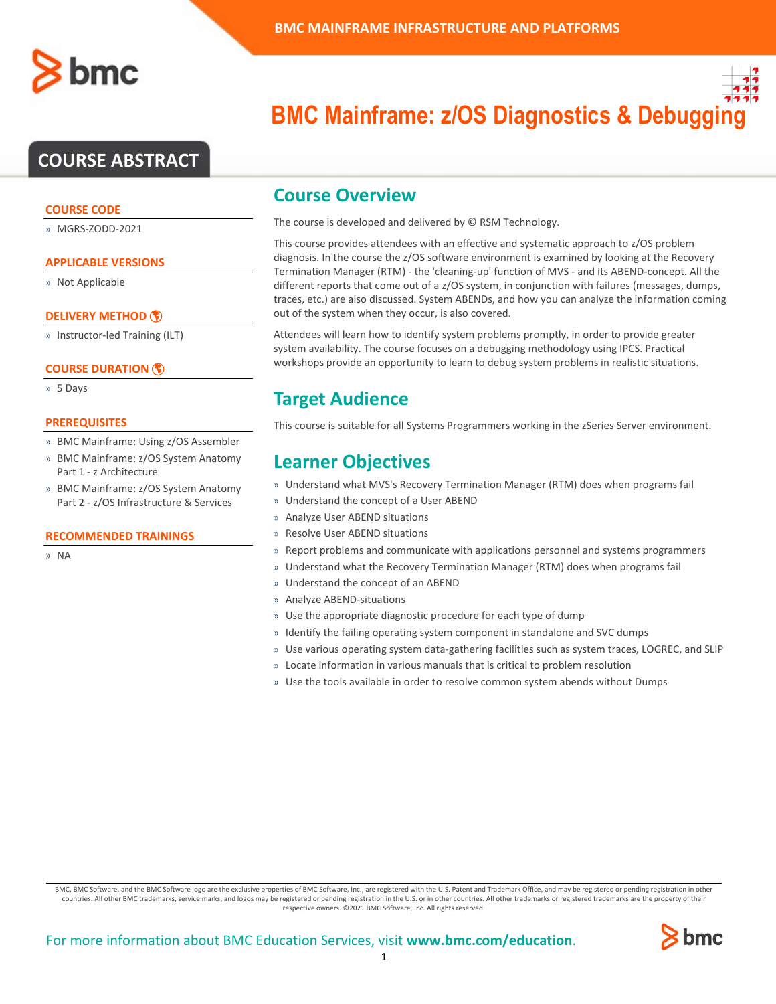# **COURSE ABSTRACT**

### **COURSE CODE**

» MGRS-ZODD-2021

## **APPLICABLE VERSIONS**

» Not Applicable

## **[DELIVERY METHOD](http://www.bmc.com/education/modality.html)**

» Instructor-led Training (ILT)

## **[COURSE DURATION](http://www.bmc.com/education/learning-paths/education-filters-learning-paths.html)**

» 5 Days

### **PREREQUISITES**

- » BMC Mainframe: Using z/OS Assembler
- » BMC Mainframe: z/OS System Anatomy Part 1 - z Architecture
- » BMC Mainframe: z/OS System Anatomy Part 2 - z/OS Infrastructure & Services

#### **RECOMMENDED TRAININGS**

» NA

# **BMC Mainframe: z/OS Diagnostics & Debugging**

## **Course Overview**

The course is developed and delivered by © RSM Technology.

This course provides attendees with an effective and systematic approach to z/OS problem diagnosis. In the course the z/OS software environment is examined by looking at the Recovery Termination Manager (RTM) - the 'cleaning-up' function of MVS - and its ABEND-concept. All the different reports that come out of a z/OS system, in conjunction with failures (messages, dumps, traces, etc.) are also discussed. System ABENDs, and how you can analyze the information coming out of the system when they occur, is also covered.

Attendees will learn how to identify system problems promptly, in order to provide greater system availability. The course focuses on a debugging methodology using IPCS. Practical workshops provide an opportunity to learn to debug system problems in realistic situations.

# **Target Audience**

This course is suitable for all Systems Programmers working in the zSeries Server environment.

## **Learner Objectives**

- » Understand what MVS's Recovery Termination Manager (RTM) does when programs fail
- » Understand the concept of a User ABEND
- » Analyze User ABEND situations
- » Resolve User ABEND situations
- » Report problems and communicate with applications personnel and systems programmers
- » Understand what the Recovery Termination Manager (RTM) does when programs fail
- » Understand the concept of an ABEND
- » Analyze ABEND-situations
- » Use the appropriate diagnostic procedure for each type of dump
- » Identify the failing operating system component in standalone and SVC dumps
- » Use various operating system data-gathering facilities such as system traces, LOGREC, and SLIP
- » Locate information in various manuals that is critical to problem resolution
- » Use the tools available in order to resolve common system abends without Dumps

BMC, BMC Software, and the BMC Software logo are the exclusive properties of BMC Software, Inc., are registered with the U.S. Patent and Trademark Office, and may be registered or pending registration in other countries. All other BMC trademarks, service marks, and logos may be registered or pending registration in the U.S. or in other countries. All other trademarks or registered trademarks are the property of their respective owners. ©2021 BMC Software, Inc. All rights reserved.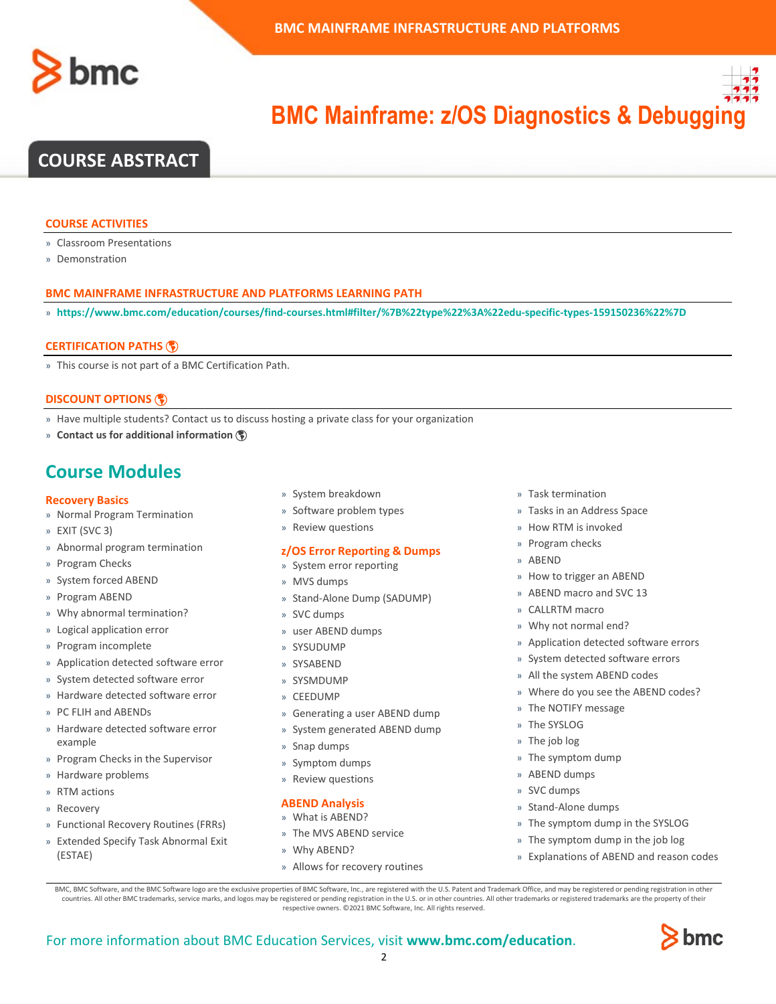



# **COURSE ABSTRACT**

#### **COURSE ACTIVITIES**

- » Classroom Presentations
- » Demonstration

#### **BMC MAINFRAME INFRASTRUCTURE AND PLATFORMS LEARNING PATH**

» **<https://www.bmc.com/education/courses/find-courses.html#filter/%7B%22type%22%3A%22edu-specific-types-159150236%22%7D>**

#### **[CERTIFICATION PATHS](http://www.bmc.com/education/certification-programs)**

» This course is not part of a BMC Certification Path.

## **[DISCOUNT OPTIONS](http://www.bmc.com/education/customer-service/customer-service.html)**

- » Have multiple students? Contact us to discuss hosting a private class for your organization
- » **[Contact us for additional information](http://www.bmc.com/education)**

## **Course Modules**

#### **Recovery Basics**

- » Normal Program Termination
- » EXIT (SVC 3)
- » Abnormal program termination
- » Program Checks
- » System forced ABEND
- » Program ABEND
- » Why abnormal termination?
- » Logical application error
- » Program incomplete
- » Application detected software error
- » System detected software error
- » Hardware detected software error
- » PC FLIH and ABENDs
- » Hardware detected software error example
- » Program Checks in the Supervisor
- » Hardware problems
- » RTM actions
- » Recovery
- » Functional Recovery Routines (FRRs)
- » Extended Specify Task Abnormal Exit (ESTAE)
- » System breakdown
- » Software problem types
- » Review questions

#### **z/OS Error Reporting & Dumps**

- » System error reporting
- » MVS dumps
- » Stand-Alone Dump (SADUMP)
- » SVC dumps
- » user ABEND dumps
- » SYSUDUMP
- » SYSABEND
- » SYSMDUMP
- » CEEDUMP
- » Generating a user ABEND dump
- » System generated ABEND dump
- » Snap dumps
- » Symptom dumps
- » Review questions

#### **ABEND Analysis**

- » What is ABEND?
- » The MVS ABEND service
- » Why ABEND?
- » Allows for recovery routines
- » Task termination
- » Tasks in an Address Space
- » How RTM is invoked
- » Program checks
- » ABEND
- » How to trigger an ABEND
- » ABEND macro and SVC 13
- » CALLRTM macro
- » Why not normal end?
- » Application detected software errors
- » System detected software errors
- » All the system ABEND codes
- » Where do you see the ABEND codes?
- » The NOTIFY message
- » The SYSLOG
- » The job log
- » The symptom dump
- » ABEND dumps
- » SVC dumps
- » Stand-Alone dumps
- » The symptom dump in the SYSLOG
- » The symptom dump in the job log
- » Explanations of ABEND and reason codes

BMC, BMC Software, and the BMC Software logo are the exclusive properties of BMC Software, Inc., are registered with the U.S. Patent and Trademark Office, and may be registered or pending registration in other countries. All other BMC trademarks, service marks, and logos may be registered or pending registration in the U.S. or in other countries. All other trademarks or registered trademarks are the property of their respective owners. ©2021 BMC Software, Inc. All rights reserved.

 $\mathfrak{Z}$ 

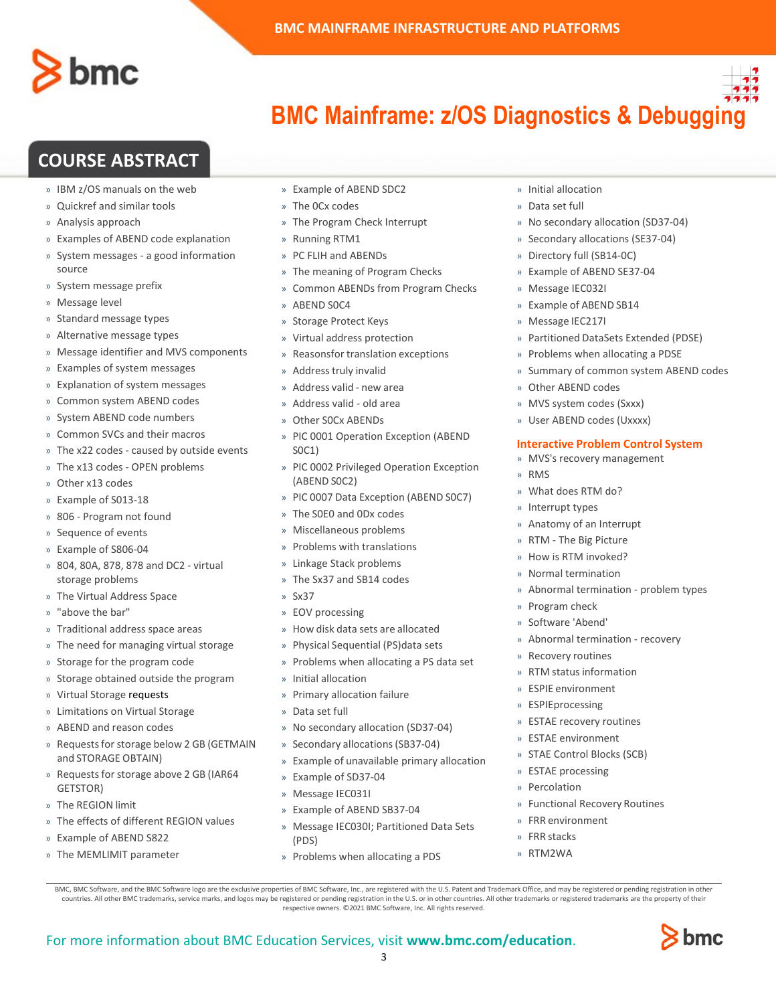

# **COURSE ABSTRACT**

- » IBM z/OS manuals on the web
- » Quickref and similar tools
- » Analysis approach
- » Examples of ABEND code explanation
- » System messages a good information source
- » System message prefix
- » Message level
- » Standard message types
- » Alternative message types
- » Message identifier and MVS components
- » Examples of system messages
- » Explanation of system messages
- » Common system ABEND codes
- » System ABEND code numbers
- » Common SVCs and their macros
- » The x22 codes caused by outside events
- » The x13 codes OPEN problems
- » Other x13 codes
- » Example of S013-18
- » 806 Program not found
- » Sequence of events
- » Example of S806-04
- » 804, 80A, 878, 878 and DC2 virtual storage problems
- » The Virtual Address Space
- » "above the bar"
- » Traditional address space areas
- » The need for managing virtual storage
- » Storage for the program code
- » Storage obtained outside the program
- » Virtual Storage requests
- » Limitations on Virtual Storage
- » ABEND and reason codes
- » Requests for storage below 2 GB (GETMAIN and STORAGE OBTAIN)
- » Requests for storage above 2 GB (IAR64 GETSTOR)
- » The REGION limit
- » The effects of different REGION values
- » Example of ABEND S822
- » The MEMLIMIT parameter
- » Example of ABEND SDC2
- » The 0Cx codes
- » The Program Check Interrupt
- » Running RTM1
- » PC FLIH and ABENDs
- » The meaning of Program Checks
- » Common ABENDs from Program Checks
- » ABEND S0C4
- » Storage Protect Keys
- » Virtual address protection
- » Reasonsfor translation exceptions
- » Address truly invalid
- » Address valid new area
- » Address valid old area
- » Other S0Cx ABENDs
- » PIC 0001 Operation Exception (ABEND S0C1)
- » PIC 0002 Privileged Operation Exception (ABEND S0C2)
- » PIC 0007 Data Exception (ABEND S0C7)
- » The S0E0 and 0Dx codes
- » Miscellaneous problems
- » Problems with translations
- » Linkage Stack problems
- » The Sx37 and SB14 codes
- » Sx37
- » EOV processing
- » How disk data sets are allocated
- » Physical Sequential (PS)data sets
- » Problems when allocating a PS data set
- » Initial allocation
- » Primary allocation failure
- » Data set full
- » No secondary allocation (SD37-04)
- » Secondary allocations(SB37-04)
- » Example of unavailable primary allocation
- » Example of SD37-04
- » Message IEC031I

For more information about BMC Education Services, visit **[www.bmc.com/education](http://www.bmc.com/education/)**.

- » Example of ABEND SB37-04
- » Message IEC030I; Partitioned Data Sets (PDS)

BMC, BMC Software, and the BMC Software logo are the exclusive properties of BMC Software, Inc., are registered with the U.S. Patent and Trademark Office, and may be registered or pending registration in other countries. All other BMC trademarks, service marks, and logos may be registered or pending registration in the U.S. or in other countries. All other trademarks or registered trademarks are the property of their respective owners. ©2021 BMC Software, Inc. All rights reserved.

3

» Problems when allocating a PDS

- » Initial allocation
- » Data set full
- » No secondary allocation (SD37-04)
- » Secondary allocations (SE37-04)
- » Directory full (SB14-0C)
- » Example of ABEND SE37-04
- » Message IEC032I
- » Example of ABEND SB14
- » Message IEC217I
- » Partitioned DataSets Extended (PDSE)
- » Problems when allocating a PDSE
- » Summary of common system ABEND codes
- » Other ABEND codes
- » MVS system codes (Sxxx)
- » User ABEND codes (Uxxxx)

#### **Interactive Problem Control System**

» Abnormal termination - problem types

» Abnormal termination - recovery

- » MVS's recovery management
- » RMS
- » What does RTM do?

» Anatomy of an Interrupt » RTM - The Big Picture » How is RTM invoked? » Normal termination

» Interrupt types

» Program check » Software 'Abend'

» Recovery routines » RTM status information » ESPIE environment » ESPIEprocessing » ESTAE recovery routines » ESTAE environment » STAE Control Blocks (SCB)

» ESTAE processing » Percolation

» FRR environment » FRR stacks » RTM2WA

» Functional Recovery Routines

bmc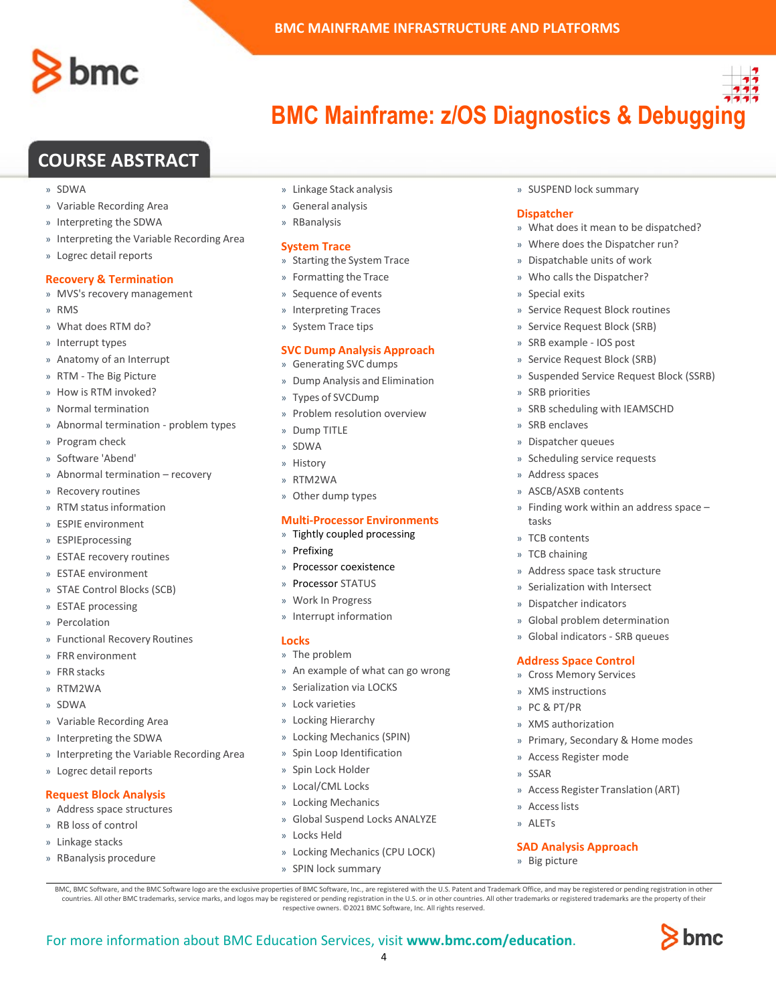

## **COURSE ABSTRACT**

- » SDWA
- » Variable Recording Area
- » Interpreting the SDWA
- » Interpreting the Variable Recording Area
- » Logrec detail reports

## **Recovery & Termination**

- » MVS's recovery management
- » RMS
- » What does RTM do?
- » Interrupt types
- » Anatomy of an Interrupt
- » RTM The Big Picture
- » How is RTM invoked?
- » Normal termination
- » Abnormal termination problem types
- » Program check
- » Software 'Abend'
- » Abnormal termination recovery
- » Recovery routines
- » RTM status information
- » ESPIE environment
- » ESPIEprocessing
- » ESTAE recovery routines
- » ESTAE environment
- » STAE Control Blocks (SCB)
- » ESTAE processing
- » Percolation
- » Functional Recovery Routines
- » FRR environment
- » FRR stacks
- » RTM2WA
- » SDWA
- » Variable Recording Area
- » Interpreting the SDWA
- » Interpreting the Variable Recording Area
- » Logrec detail reports

## **Request Block Analysis**

- » Address space structures
- » RB loss of control
- » Linkage stacks
- » RBanalysis procedure
- » Linkage Stack analysis
- » General analysis
- » RBanalysis

#### **System Trace**

- » Starting the System Trace
- » Formatting the Trace
- » Sequence of events
- » Interpreting Traces
- » System Trace tips

#### **SVC Dump Analysis Approach**

- » Generating SVC dumps
- » Dump Analysis and Elimination
- » Types of SVCDump
- » Problem resolution overview
- » Dump TITLE
- » SDWA
- » History
- » RTM2WA
- » Other dump types

## **Multi-Processor Environments**

- » Tightly coupled processing
- » Prefixing
- » Processor coexistence
- » Processor STATUS
- » Work In Progress
- » Interrupt information

#### **Locks**

- » The problem
- » An example of what can go wrong
- » Serialization via LOCKS
- » Lock varieties
- » Locking Hierarchy
- » Locking Mechanics (SPIN)
- » Spin Loop Identification
- » Spin Lock Holder
- » Local/CML Locks
- » Locking Mechanics

» SPIN lock summary

- » Global Suspend Locks ANALYZE
- » Locks Held

For more information about BMC Education Services, visit **[www.bmc.com/education](http://www.bmc.com/education/)**.

» Locking Mechanics (CPU LOCK)

BMC, BMC Software, and the BMC Software logo are the exclusive properties of BMC Software, Inc., are registered with the U.S. Patent and Trademark Office, and may be registered or pending registration in other countries. All other BMC trademarks, service marks, and logos may be registered or pending registration in the U.S. or in other countries. All other trademarks or registered trademarks are the property of their respective owners. ©2021 BMC Software, Inc. All rights reserved.

4

» SUSPEND lock summary

#### **Dispatcher**

- » What does it mean to be dispatched?
- » Where does the Dispatcher run?
- » Dispatchable units of work
- » Who calls the Dispatcher?
- » Special exits
- » Service Request Block routines
- » Service Request Block (SRB)
- » SRB example IOS post
- » Service Request Block (SRB)
- » Suspended Service Request Block (SSRB)
- » SRB priorities
- » SRB scheduling with IEAMSCHD

» Finding work within an address space –

» Address space task structure » Serialization with Intersect » Dispatcher indicators » Global problem determination » Global indicators - SRB queues

**Address Space Control** » Cross Memory Services » XMS instructions » PC & PT/PR » XMS authorization

» Access Register mode

**SAD Analysis Approach**

» SSAR

» Accesslists » ALETs

» Big picture

» Primary, Secondary & Home modes

» Access Register Translation (ART)

bmc

» SRB enclaves

» Address spaces » ASCB/ASXB contents

tasks » TCB contents » TCB chaining

» Dispatcher queues » Scheduling service requests